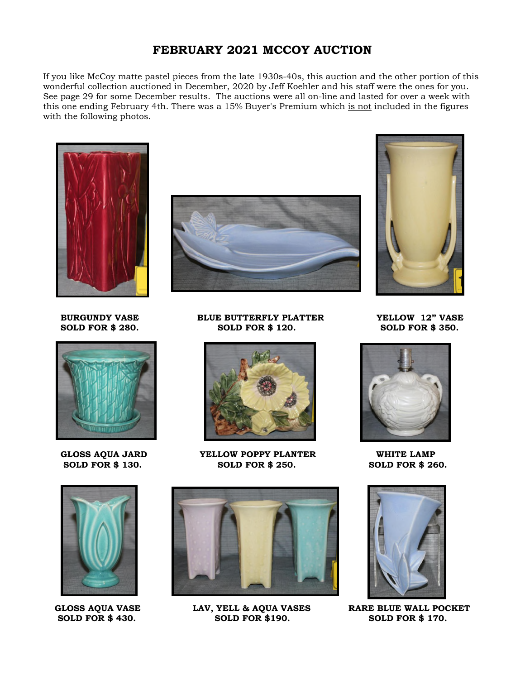## **FEBRUARY 2021 MCCOY AUCTION**

If you like McCoy matte pastel pieces from the late 1930s-40s, this auction and the other portion of this wonderful collection auctioned in December, 2020 by Jeff Koehler and his staff were the ones for you. See page 29 for some December results. The auctions were all on-line and lasted for over a week with this one ending February 4th. There was a 15% Buyer's Premium which is not included in the figures with the following photos.









**BURGUNDY VASE BLUE BUTTERFLY PLATTER YELLOW 12" VASE SOLD FOR \$ 280. SOLD FOR \$ 120. SOLD FOR \$ 350.** 



 **GLOSS AQUA JARD YELLOW POPPY PLANTER WHITE LAMP SOLD FOR \$ 130. SOLD FOR \$ 250. SOLD FOR \$ 260.** 



 **SOLD FOR \$ 430. SOLD FOR \$190. SOLD FOR \$ 170.** 







GLOSS AQUA VASE LAV, YELL & AQUA VASES RARE BLUE WALL POCKET<br>
SOLD FOR \$430. SOLD FOR \$190. SOLD FOR \$170.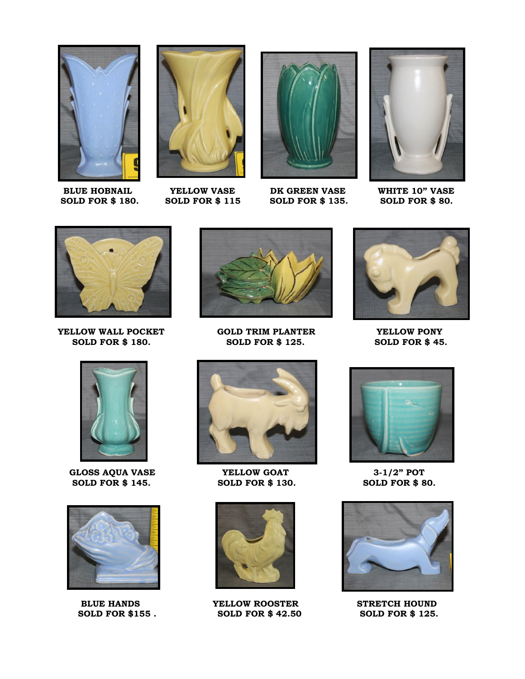

**BLUE HOBNAIL 4 A CELLOW VASE A DK GREEN VASE WHITE 10" VASE SOLD FOR \$ 180.** SOLD FOR \$ 80.





**SOLD FOR \$ 135.** 





**YELLOW WALL POCKET** GOLD TRIM PLANTER **SOLD FOR \$180.** THE SOLD FOR \$125. SOLD FOR \$45.



GLOSS AQUA VASE **YELLOW GOAT** 3-1/2" POT  **SOLD FOR \$ 145. SOLD FOR \$ 130. SOLD FOR \$ 80.** 





**SOLD FOR \$ 125.** 





**BLUE HANDS YELLOW ROOSTER STRETCH HOUND SOLD FOR \$155 . SOLD FOR \$ 42.50 SOLD FOR \$ 125.** 





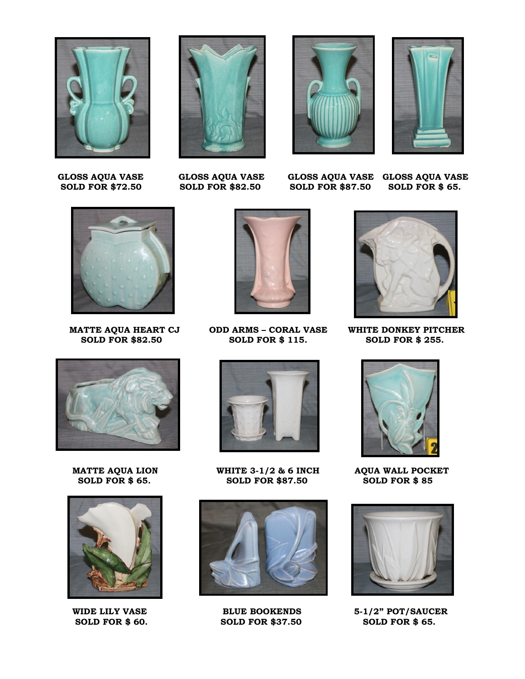





**SOLD FOR \$87.50** 

 **GLOSS AQUA VASE GLOSS AQUA VASE GLOSS AQUA VASE GLOSS AQUA VASE** 



**SOLD FOR \$82.50** 







**MATTE AQUA HEART CJ ODD ARMS – CORAL VASE WHITE DONKEY PITCHER SOLD FOR \$255.**<br>SOLD FOR \$82.50 SOLD FOR \$115. SOLD FOR \$255.



**MATTE AQUA LION WHITE 3-1/2 & 6 INCH AQUA WALL POCKET<br>SOLD FOR \$65. SOLD FOR \$87.50 SOLD FOR \$85 SOLD FOR \$87.50** 



WIDE LILY VASE **BLUE BOOKENDS** 5-1/2" POT/SAUCER







**SOLD FOR \$ 60. SOLD FOR \$37.50 SOLD FOR \$ 65.**